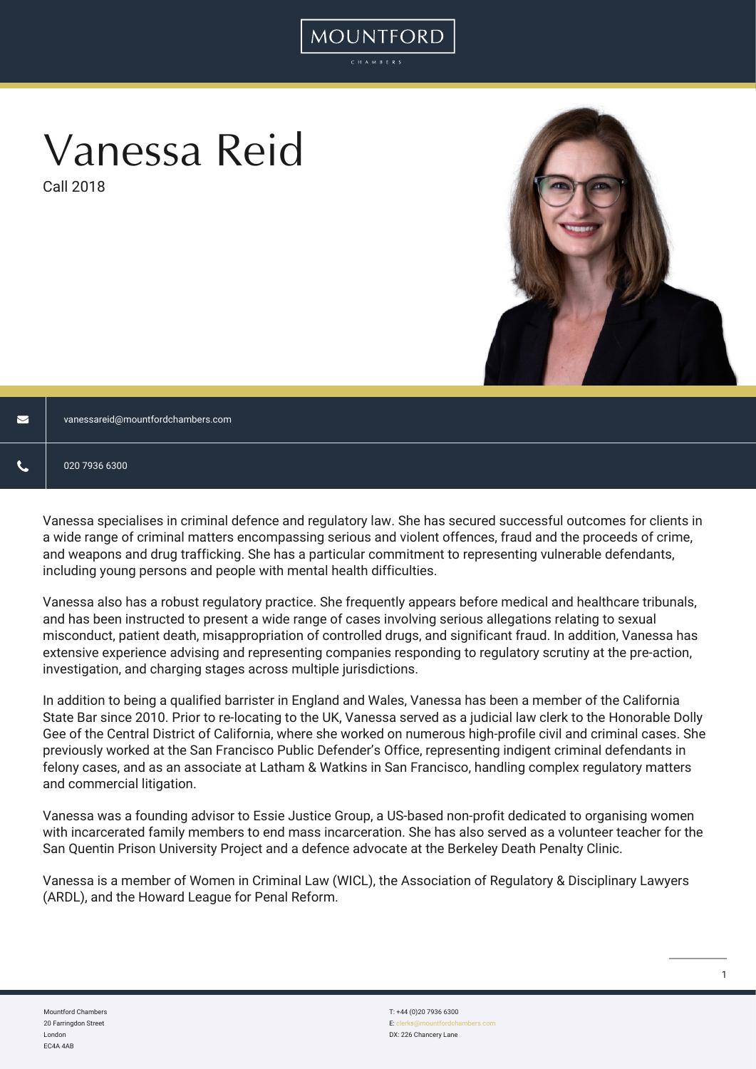# Vanessa Reid

Call 2018



 $\blacksquare$ [vanessareid@mountfordchambers.com](mailto:vanessareid@mountfordchambers.com)

Vanessa specialises in criminal defence and regulatory law. She has secured successful outcomes for clients in a wide range of criminal matters encompassing serious and violent offences, fraud and the proceeds of crime, and weapons and drug trafficking. She has a particular commitment to representing vulnerable defendants, including young persons and people with mental health difficulties.

MOUNTFORD

Vanessa also has a robust regulatory practice. She frequently appears before medical and healthcare tribunals, and has been instructed to present a wide range of cases involving serious allegations relating to sexual misconduct, patient death, misappropriation of controlled drugs, and significant fraud. In addition, Vanessa has extensive experience advising and representing companies responding to regulatory scrutiny at the pre-action, investigation, and charging stages across multiple jurisdictions.

In addition to being a qualified barrister in England and Wales, Vanessa has been a member of the California State Bar since 2010. Prior to re-locating to the UK, Vanessa served as a judicial law clerk to the Honorable Dolly Gee of the Central District of California, where she worked on numerous high-profile civil and criminal cases. She previously worked at the San Francisco Public Defender's Office, representing indigent criminal defendants in felony cases, and as an associate at Latham & Watkins in San Francisco, handling complex regulatory matters and commercial litigation.

Vanessa was a founding advisor to Essie Justice Group, a US-based non-profit dedicated to organising women with incarcerated family members to end mass incarceration. She has also served as a volunteer teacher for the San Quentin Prison University Project and a defence advocate at the Berkeley Death Penalty Clinic.

Vanessa is a member of Women in Criminal Law (WICL), the Association of Regulatory & Disciplinary Lawyers (ARDL), and the Howard League for Penal Reform.

Mountford Chambers 20 Farringdon Street London EC4A 4AB

T: +44 (0)20 7936 6300 E: cl DX: 226 Chancery Lane 1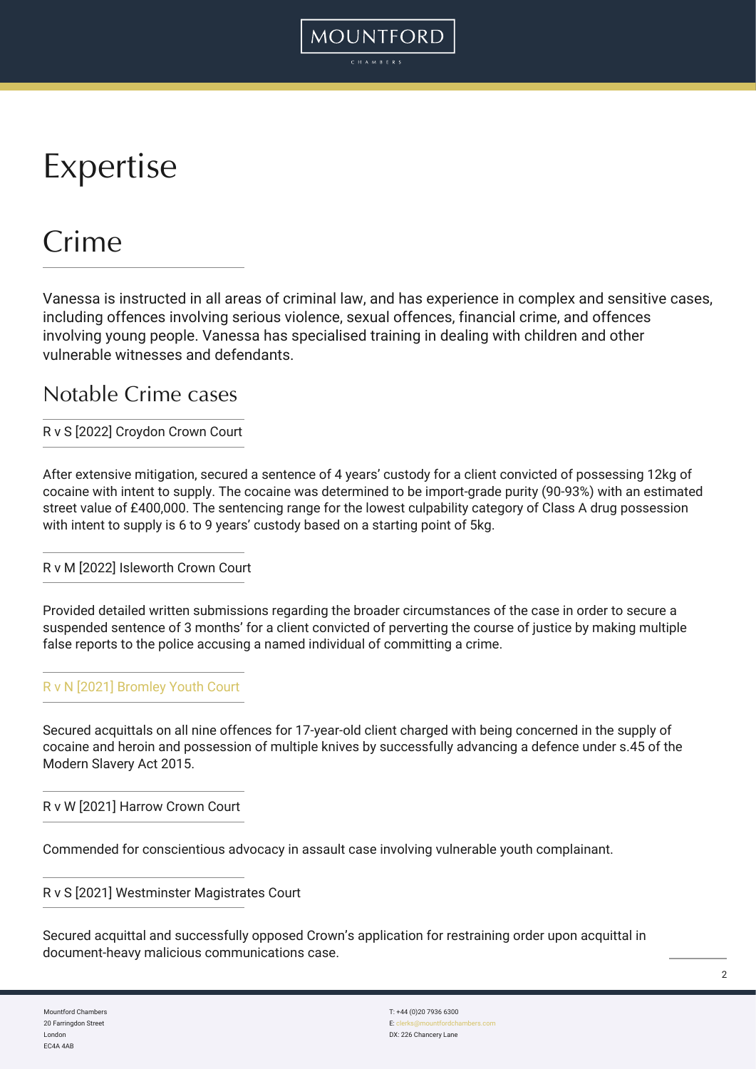# Expertise

### Crime

Vanessa is instructed in all areas of criminal law, and has experience in complex and sensitive cases, including offences involving serious violence, sexual offences, financial crime, and offences involving young people. Vanessa has specialised training in dealing with children and other vulnerable witnesses and defendants.

MOUNTFORD

#### Notable Crime cases

#### R v S [2022] Croydon Crown Court

After extensive mitigation, secured a sentence of 4 years' custody for a client convicted of possessing 12kg of cocaine with intent to supply. The cocaine was determined to be import-grade purity (90-93%) with an estimated street value of £400,000. The sentencing range for the lowest culpability category of Class A drug possession with intent to supply is 6 to 9 years' custody based on a starting point of 5kg.

#### R v M [2022] Isleworth Crown Court

Provided detailed written submissions regarding the broader circumstances of the case in order to secure a suspended sentence of 3 months' for a client convicted of perverting the course of justice by making multiple false reports to the police accusing a named individual of committing a crime.

#### [R v N \[2021\] Bromley Youth Court](https://www.mountfordchambers.com/vanessa-reid-secures-acquittal-for-all-nine-offences-in-modern-slavery-trial/)

Secured acquittals on all nine offences for 17-year-old client charged with being concerned in the supply of cocaine and heroin and possession of multiple knives by successfully advancing a defence under s.45 of the Modern Slavery Act 2015.

R v W [2021] Harrow Crown Court

Commended for conscientious advocacy in assault case involving vulnerable youth complainant.

R v S [2021] Westminster Magistrates Court

Secured acquittal and successfully opposed Crown's application for restraining order upon acquittal in document-heavy malicious communications case.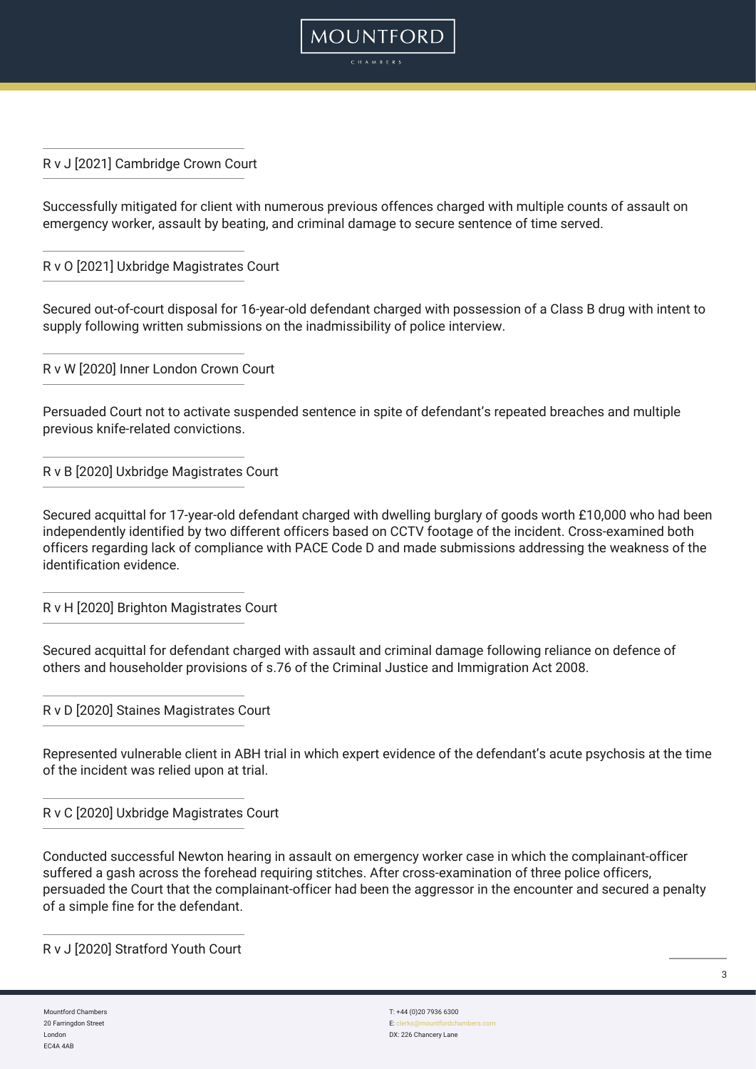R v J [2021] Cambridge Crown Court

Successfully mitigated for client with numerous previous offences charged with multiple counts of assault on emergency worker, assault by beating, and criminal damage to secure sentence of time served.

MOUNTFORD

R v O [2021] Uxbridge Magistrates Court

Secured out-of-court disposal for 16-year-old defendant charged with possession of a Class B drug with intent to supply following written submissions on the inadmissibility of police interview.

R v W [2020] Inner London Crown Court

Persuaded Court not to activate suspended sentence in spite of defendant's repeated breaches and multiple previous knife-related convictions.

R v B [2020] Uxbridge Magistrates Court

Secured acquittal for 17-year-old defendant charged with dwelling burglary of goods worth £10,000 who had been independently identified by two different officers based on CCTV footage of the incident. Cross-examined both officers regarding lack of compliance with PACE Code D and made submissions addressing the weakness of the identification evidence.

R v H [2020] Brighton Magistrates Court

Secured acquittal for defendant charged with assault and criminal damage following reliance on defence of others and householder provisions of s.76 of the Criminal Justice and Immigration Act 2008.

R v D [2020] Staines Magistrates Court

Represented vulnerable client in ABH trial in which expert evidence of the defendant's acute psychosis at the time of the incident was relied upon at trial.

R v C [2020] Uxbridge Magistrates Court

Conducted successful Newton hearing in assault on emergency worker case in which the complainant-officer suffered a gash across the forehead requiring stitches. After cross-examination of three police officers, persuaded the Court that the complainant-officer had been the aggressor in the encounter and secured a penalty of a simple fine for the defendant.

R v J [2020] Stratford Youth Court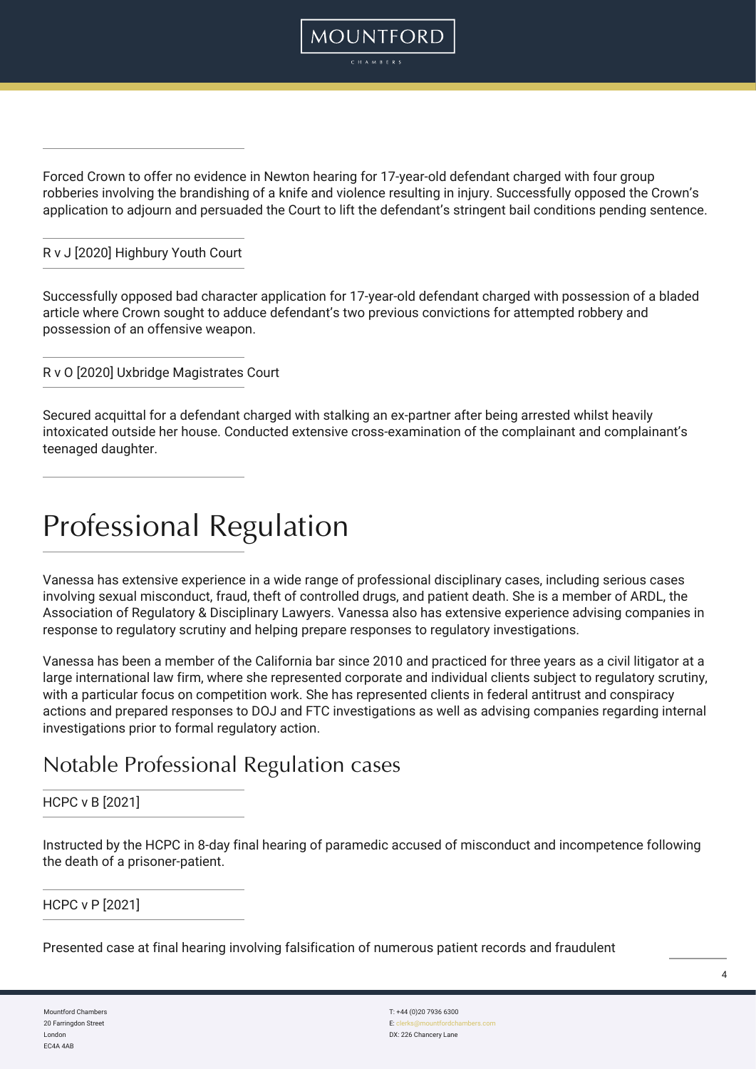Forced Crown to offer no evidence in Newton hearing for 17-year-old defendant charged with four group robberies involving the brandishing of a knife and violence resulting in injury. Successfully opposed the Crown's application to adjourn and persuaded the Court to lift the defendant's stringent bail conditions pending sentence.

MOUNTFORD

#### R v J [2020] Highbury Youth Court

Successfully opposed bad character application for 17-year-old defendant charged with possession of a bladed article where Crown sought to adduce defendant's two previous convictions for attempted robbery and possession of an offensive weapon.

R v O [2020] Uxbridge Magistrates Court

Secured acquittal for a defendant charged with stalking an ex-partner after being arrested whilst heavily intoxicated outside her house. Conducted extensive cross-examination of the complainant and complainant's teenaged daughter.

### Professional Regulation

Vanessa has extensive experience in a wide range of professional disciplinary cases, including serious cases involving sexual misconduct, fraud, theft of controlled drugs, and patient death. She is a member of ARDL, the Association of Regulatory & Disciplinary Lawyers. Vanessa also has extensive experience advising companies in response to regulatory scrutiny and helping prepare responses to regulatory investigations.

Vanessa has been a member of the California bar since 2010 and practiced for three years as a civil litigator at a large international law firm, where she represented corporate and individual clients subject to regulatory scrutiny, with a particular focus on competition work. She has represented clients in federal antitrust and conspiracy actions and prepared responses to DOJ and FTC investigations as well as advising companies regarding internal investigations prior to formal regulatory action.

### Notable Professional Regulation cases

#### HCPC v B [2021]

Instructed by the HCPC in 8-day final hearing of paramedic accused of misconduct and incompetence following the death of a prisoner-patient.

#### HCPC v P [2021]

Presented case at final hearing involving falsification of numerous patient records and fraudulent

Mountford Chambers 20 Farringdon Street London EC4A 4AB

T: +44 (0)20 7936 6300 E: cle DX: 226 Chancery Lane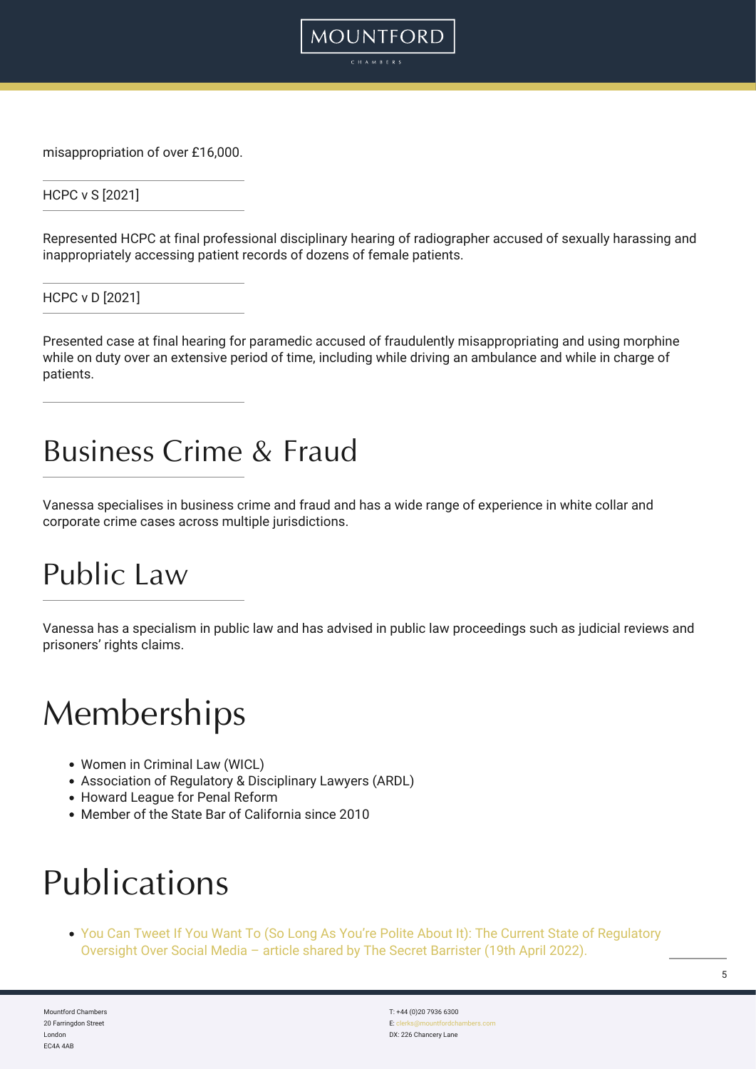misappropriation of over £16,000.

HCPC v S [2021]

Represented HCPC at final professional disciplinary hearing of radiographer accused of sexually harassing and inappropriately accessing patient records of dozens of female patients.

**MOUNTFORD** 

HCPC v D [2021]

Presented case at final hearing for paramedic accused of fraudulently misappropriating and using morphine while on duty over an extensive period of time, including while driving an ambulance and while in charge of patients.

### Business Crime & Fraud

Vanessa specialises in business crime and fraud and has a wide range of experience in white collar and corporate crime cases across multiple jurisdictions.

### Public Law

Vanessa has a specialism in public law and has advised in public law proceedings such as judicial reviews and prisoners' rights claims.

### **Memberships**

- Women in Criminal Law (WICL)
- Association of Regulatory & Disciplinary Lawyers (ARDL)
- Howard League for Penal Reform
- Member of the State Bar of California since 2010

## Publications

[You Can Tweet If You Want To \(So Long As You're Polite About It\): The Current State of Regulatory](https://thesecretbarrister.com/2022/04/19/guest-post-you-can-tweet-if-you-want-to-so-long-as-youre-polite-about-it-the-current-state-of-regulatory-oversight-over-social-media/) [Oversight Over Social Media – article shared by The Secret Barrister \(19th April 2022\).](https://thesecretbarrister.com/2022/04/19/guest-post-you-can-tweet-if-you-want-to-so-long-as-youre-polite-about-it-the-current-state-of-regulatory-oversight-over-social-media/)